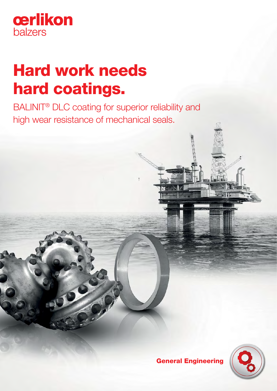

# Hard work needs hard coatings.

BALINIT<sup>®</sup> DLC coating for superior reliability and high wear resistance of mechanical seals.

General Engineering